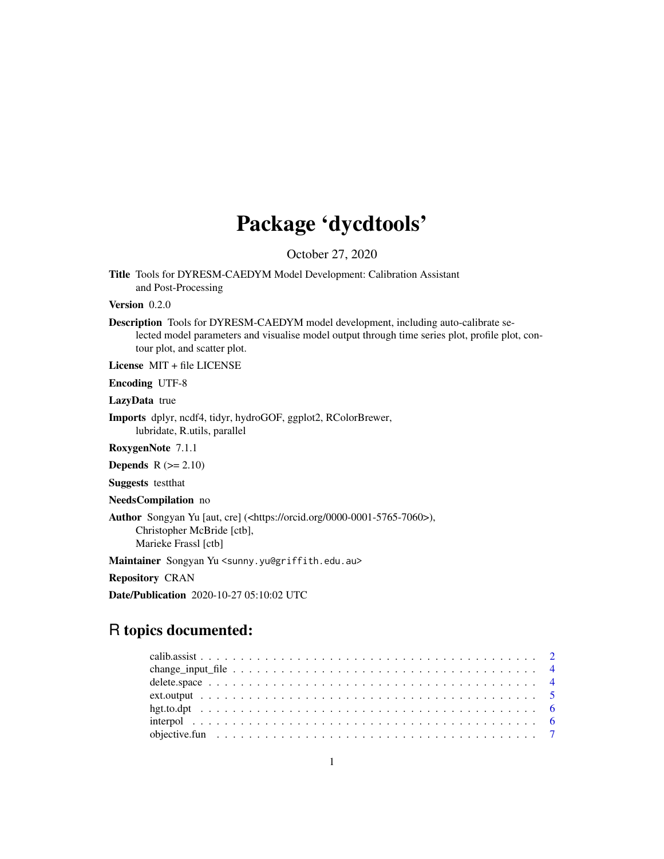# Package 'dycdtools'

October 27, 2020

Title Tools for DYRESM-CAEDYM Model Development: Calibration Assistant and Post-Processing

Version 0.2.0

Description Tools for DYRESM-CAEDYM model development, including auto-calibrate selected model parameters and visualise model output through time series plot, profile plot, contour plot, and scatter plot.

License MIT + file LICENSE

Encoding UTF-8

LazyData true

Imports dplyr, ncdf4, tidyr, hydroGOF, ggplot2, RColorBrewer, lubridate, R.utils, parallel

RoxygenNote 7.1.1

**Depends**  $R$  ( $>= 2.10$ )

Suggests testthat

NeedsCompilation no

Author Songyan Yu [aut, cre] (<https://orcid.org/0000-0001-5765-7060>), Christopher McBride [ctb], Marieke Frassl [ctb]

Maintainer Songyan Yu <sunny.yu@griffith.edu.au>

Repository CRAN

Date/Publication 2020-10-27 05:10:02 UTC

# R topics documented: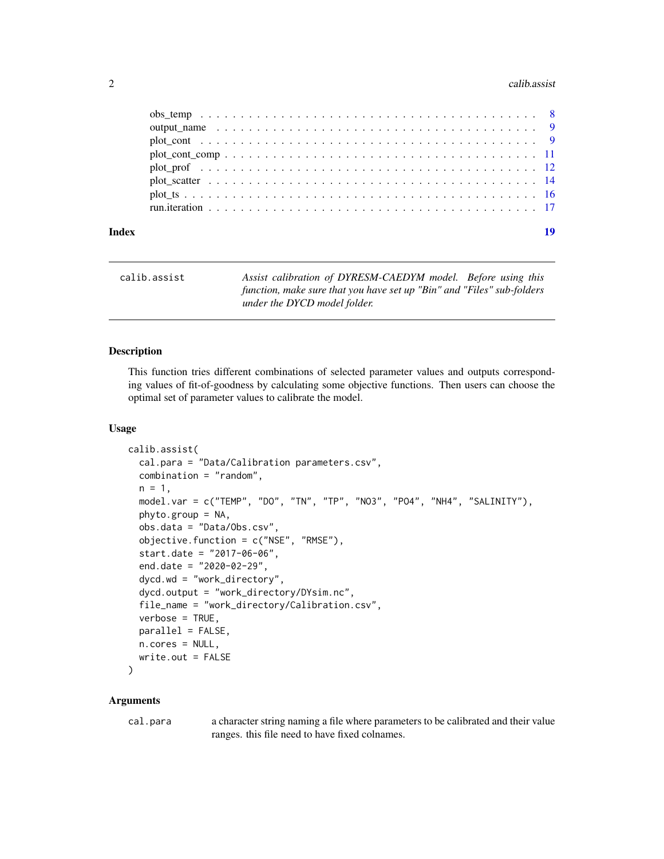#### <span id="page-1-0"></span> $2 \cos \theta$  calibration  $\cos \theta$  calibration  $\cos \theta$  calibration  $\cos \theta$

| Index | 19 |  |
|-------|----|--|

| calib.assist | Assist calibration of DYRESM-CAEDYM model. Before using this                                           |
|--------------|--------------------------------------------------------------------------------------------------------|
|              | function, make sure that you have set up "Bin" and "Files" sub-folders<br>under the DYCD model folder. |

# Description

This function tries different combinations of selected parameter values and outputs corresponding values of fit-of-goodness by calculating some objective functions. Then users can choose the optimal set of parameter values to calibrate the model.

#### Usage

```
calib.assist(
  cal.para = "Data/Calibration parameters.csv",
  combination = "random",
  n = 1,
  model.var = c("TEMP", "DO", "TN", "TP", "NO3", "PO4", "NH4", "SALINITY"),
  phyto.group = NA,
  obs.data = "Data/Obs.csv",
  objective.function = c("NSE", "RMSE"),
  start.date = "2017-06-06",
  end.date = "2020-02-29",
  dycd.wd = "work_directory",
  dycd.output = "work_directory/DYsim.nc",
  file_name = "work_directory/Calibration.csv",
  verbose = TRUE,
  parallel = FALSE,
  n.cores = NULL,
  write.out = FALSE
```
# )

#### Arguments

cal.para a character string naming a file where parameters to be calibrated and their value ranges. this file need to have fixed colnames.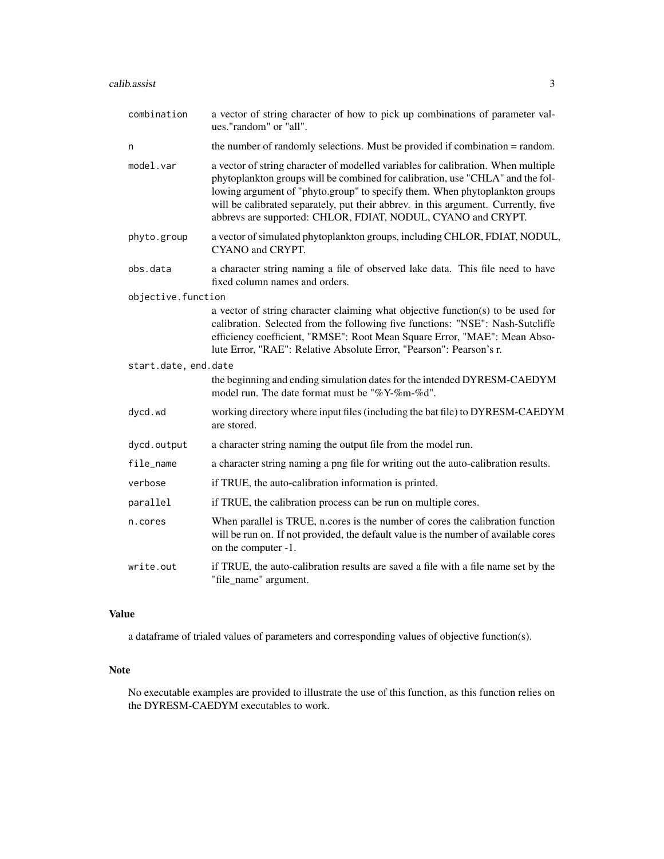#### calib.assist 3

| combination          | a vector of string character of how to pick up combinations of parameter val-<br>ues."random" or "all".                                                                                                                                                                                                                                                                                                  |
|----------------------|----------------------------------------------------------------------------------------------------------------------------------------------------------------------------------------------------------------------------------------------------------------------------------------------------------------------------------------------------------------------------------------------------------|
| n                    | the number of randomly selections. Must be provided if combination = random.                                                                                                                                                                                                                                                                                                                             |
| model.var            | a vector of string character of modelled variables for calibration. When multiple<br>phytoplankton groups will be combined for calibration, use "CHLA" and the fol-<br>lowing argument of "phyto.group" to specify them. When phytoplankton groups<br>will be calibrated separately, put their abbrev. in this argument. Currently, five<br>abbrevs are supported: CHLOR, FDIAT, NODUL, CYANO and CRYPT. |
| phyto.group          | a vector of simulated phytoplankton groups, including CHLOR, FDIAT, NODUL,<br>CYANO and CRYPT.                                                                                                                                                                                                                                                                                                           |
| obs.data             | a character string naming a file of observed lake data. This file need to have<br>fixed column names and orders.                                                                                                                                                                                                                                                                                         |
| objective.function   |                                                                                                                                                                                                                                                                                                                                                                                                          |
|                      | a vector of string character claiming what objective function(s) to be used for<br>calibration. Selected from the following five functions: "NSE": Nash-Sutcliffe<br>efficiency coefficient, "RMSE": Root Mean Square Error, "MAE": Mean Abso-<br>lute Error, "RAE": Relative Absolute Error, "Pearson": Pearson's r.                                                                                    |
| start.date, end.date |                                                                                                                                                                                                                                                                                                                                                                                                          |
|                      | the beginning and ending simulation dates for the intended DYRESM-CAEDYM<br>model run. The date format must be "%Y-%m-%d".                                                                                                                                                                                                                                                                               |
| dycd.wd              | working directory where input files (including the bat file) to DYRESM-CAEDYM<br>are stored.                                                                                                                                                                                                                                                                                                             |
| dycd.output          | a character string naming the output file from the model run.                                                                                                                                                                                                                                                                                                                                            |
| file_name            | a character string naming a png file for writing out the auto-calibration results.                                                                                                                                                                                                                                                                                                                       |
| verbose              | if TRUE, the auto-calibration information is printed.                                                                                                                                                                                                                                                                                                                                                    |
| parallel             | if TRUE, the calibration process can be run on multiple cores.                                                                                                                                                                                                                                                                                                                                           |
| n.cores              | When parallel is TRUE, n.cores is the number of cores the calibration function<br>will be run on. If not provided, the default value is the number of available cores<br>on the computer -1.                                                                                                                                                                                                             |
| write.out            | if TRUE, the auto-calibration results are saved a file with a file name set by the<br>"file_name" argument.                                                                                                                                                                                                                                                                                              |

#### Value

a dataframe of trialed values of parameters and corresponding values of objective function(s).

# Note

No executable examples are provided to illustrate the use of this function, as this function relies on the DYRESM-CAEDYM executables to work.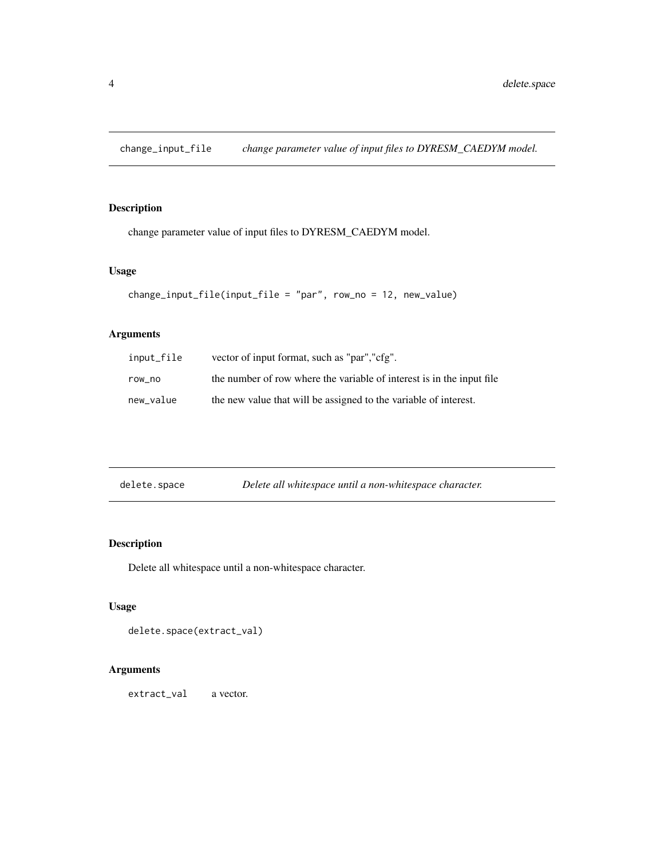<span id="page-3-0"></span>change\_input\_file *change parameter value of input files to DYRESM\_CAEDYM model.*

# Description

change parameter value of input files to DYRESM\_CAEDYM model.

#### Usage

```
change_input_file(input_file = "par", row_no = 12, new_value)
```
# Arguments

| input_file | vector of input format, such as "par", "cfg".                         |
|------------|-----------------------------------------------------------------------|
| row no     | the number of row where the variable of interest is in the input file |
| new_value  | the new value that will be assigned to the variable of interest.      |

| delete.space | Delete all whitespace until a non-whitespace character. |
|--------------|---------------------------------------------------------|
|              |                                                         |

# Description

Delete all whitespace until a non-whitespace character.

# Usage

```
delete.space(extract_val)
```
# Arguments

extract\_val a vector.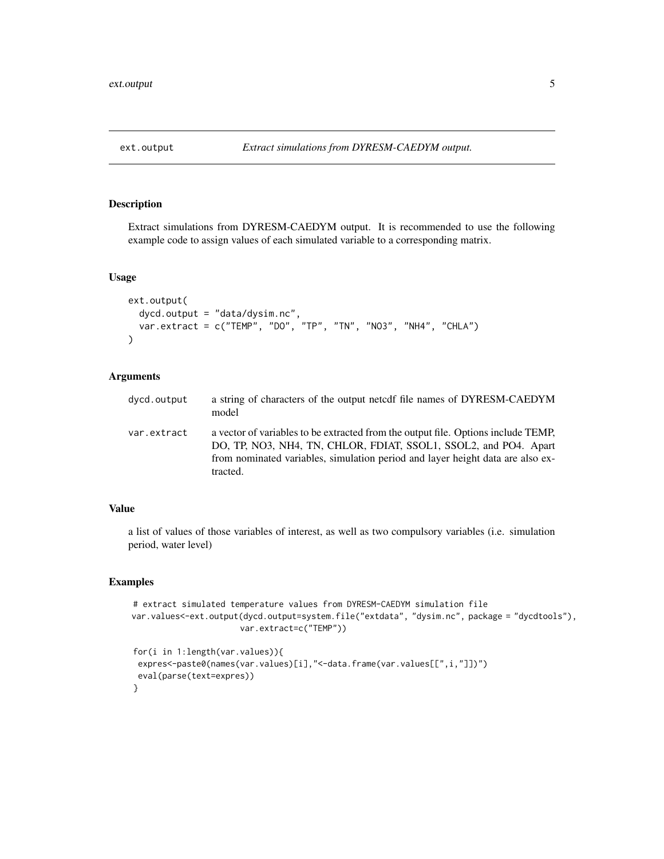<span id="page-4-0"></span>

Extract simulations from DYRESM-CAEDYM output. It is recommended to use the following example code to assign values of each simulated variable to a corresponding matrix.

#### Usage

```
ext.output(
  dycd.output = "data/dysim.nc",
  var.extract = c("TEMP", "DO", "TP", "TN", "NO3", "NH4", "CHLA")
\mathcal{L}
```
# Arguments

| dycd.output | a string of characters of the output netcdf file names of DYRESM-CAEDYM<br>model                                                                                                                                                                    |
|-------------|-----------------------------------------------------------------------------------------------------------------------------------------------------------------------------------------------------------------------------------------------------|
| var.extract | a vector of variables to be extracted from the output file. Options include TEMP,<br>DO, TP, NO3, NH4, TN, CHLOR, FDIAT, SSOL1, SSOL2, and PO4. Apart<br>from nominated variables, simulation period and layer height data are also ex-<br>tracted. |

#### Value

a list of values of those variables of interest, as well as two compulsory variables (i.e. simulation period, water level)

# Examples

```
# extract simulated temperature values from DYRESM-CAEDYM simulation file
var.values<-ext.output(dycd.output=system.file("extdata", "dysim.nc", package = "dycdtools"),
                      var.extract=c("TEMP"))
```

```
for(i in 1:length(var.values)){
 expres<-paste0(names(var.values)[i],"<-data.frame(var.values[[",i,"]])")
 eval(parse(text=expres))
}
```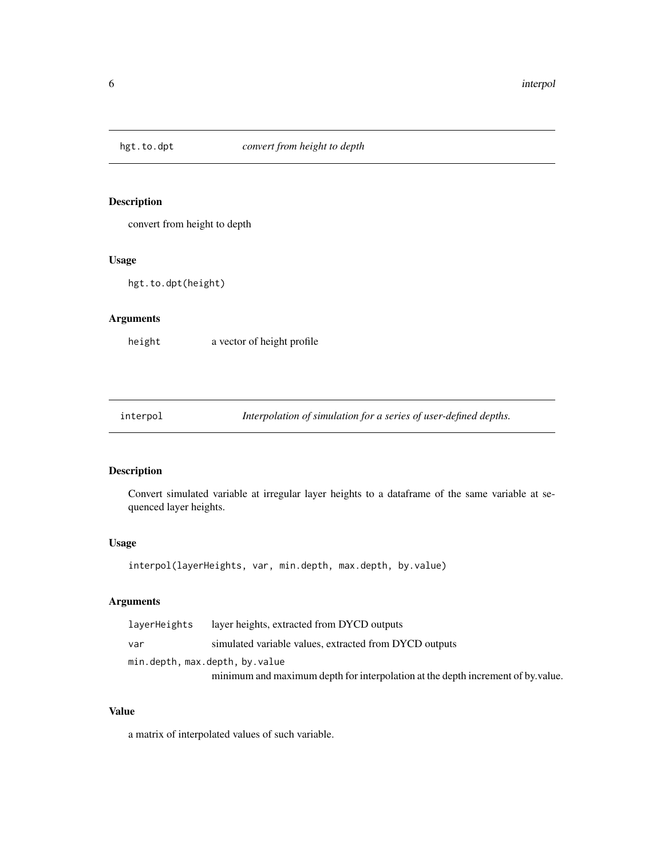<span id="page-5-0"></span>

convert from height to depth

#### Usage

hgt.to.dpt(height)

#### Arguments

height a vector of height profile

interpol *Interpolation of simulation for a series of user-defined depths.*

# Description

Convert simulated variable at irregular layer heights to a dataframe of the same variable at sequenced layer heights.

#### Usage

interpol(layerHeights, var, min.depth, max.depth, by.value)

# Arguments

| laverHeights | layer heights, extracted from DYCD outputs                                      |
|--------------|---------------------------------------------------------------------------------|
| var          | simulated variable values, extracted from DYCD outputs                          |
|              | min.depth, max.depth, by.value                                                  |
|              | minimum and maximum depth for interpolation at the depth increment of by value. |

# Value

a matrix of interpolated values of such variable.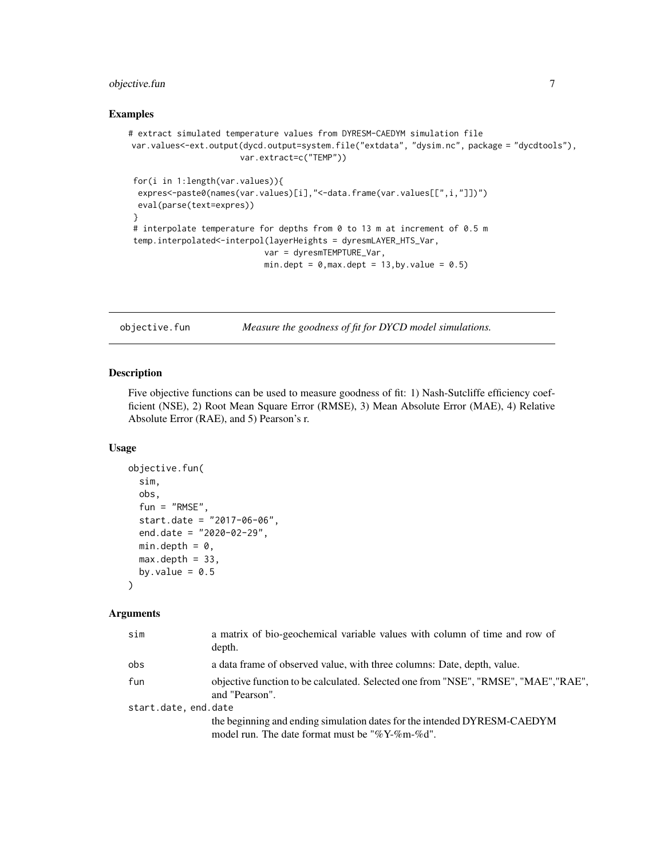# <span id="page-6-0"></span>objective.fun 7

#### Examples

```
# extract simulated temperature values from DYRESM-CAEDYM simulation file
var.values<-ext.output(dycd.output=system.file("extdata", "dysim.nc", package = "dycdtools"),
                       var.extract=c("TEMP"))
for(i in 1:length(var.values)){
 expres<-paste0(names(var.values)[i],"<-data.frame(var.values[[",i,"]])")
 eval(parse(text=expres))
}
```

```
# interpolate temperature for depths from 0 to 13 m at increment of 0.5 m
temp.interpolated<-interpol(layerHeights = dyresmLAYER_HTS_Var,
                           var = dyresmTEMPTURE_Var,
```

```
min.dept = 0, max.dept = 13, by.value = 0.5)
```
objective.fun *Measure the goodness of fit for DYCD model simulations.*

### Description

Five objective functions can be used to measure goodness of fit: 1) Nash-Sutcliffe efficiency coefficient (NSE), 2) Root Mean Square Error (RMSE), 3) Mean Absolute Error (MAE), 4) Relative Absolute Error (RAE), and 5) Pearson's r.

# Usage

```
objective.fun(
  sim,
  obs,
  fun = "RMSE",start.date = "2017-06-06",
  end.date = "2020-02-29",
 min.depth = 0,
 max.depth = 33,
 by.value = 0.5)
```

| sim                  | a matrix of bio-geochemical variable values with column of time and row of<br>depth.                                           |
|----------------------|--------------------------------------------------------------------------------------------------------------------------------|
| obs                  | a data frame of observed value, with three columns: Date, depth, value.                                                        |
| fun                  | objective function to be calculated. Selected one from "NSE", "RMSE", "MAE", "RAE",<br>and "Pearson".                          |
| start.date, end.date |                                                                                                                                |
|                      | the beginning and ending simulation dates for the intended DYRESM-CAEDYM<br>model run. The date format must be "% $Y$ -%m-%d". |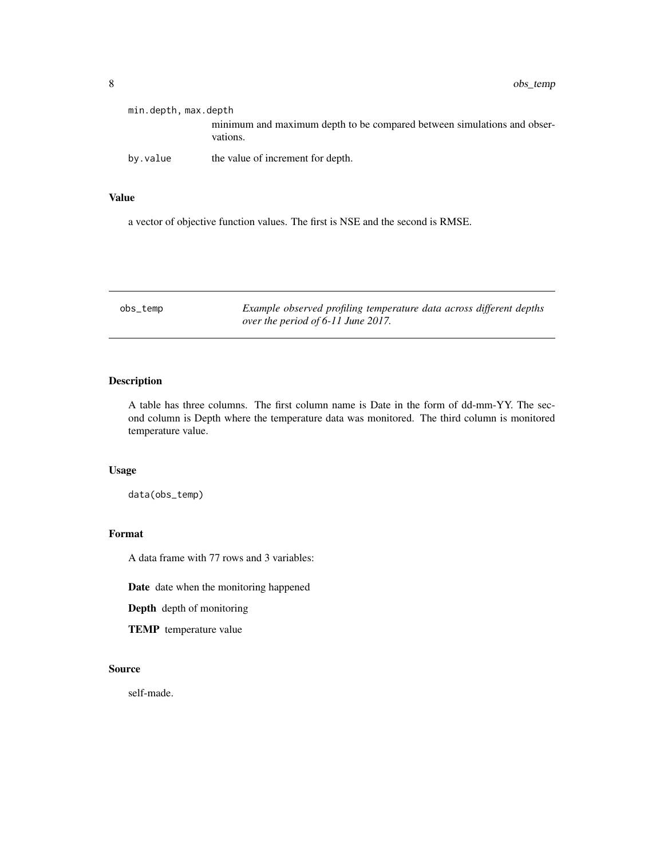<span id="page-7-0"></span>

| min.depth, max.depth |                                                                                     |
|----------------------|-------------------------------------------------------------------------------------|
|                      | minimum and maximum depth to be compared between simulations and obser-<br>vations. |
| by.value             | the value of increment for depth.                                                   |

#### Value

a vector of objective function values. The first is NSE and the second is RMSE.

| obs_temp | Example observed profiling temperature data across different depths |  |
|----------|---------------------------------------------------------------------|--|
|          | over the period of 6-11 June 2017.                                  |  |

# Description

A table has three columns. The first column name is Date in the form of dd-mm-YY. The second column is Depth where the temperature data was monitored. The third column is monitored temperature value.

# Usage

data(obs\_temp)

# Format

A data frame with 77 rows and 3 variables:

Date date when the monitoring happened

Depth depth of monitoring

TEMP temperature value

#### Source

self-made.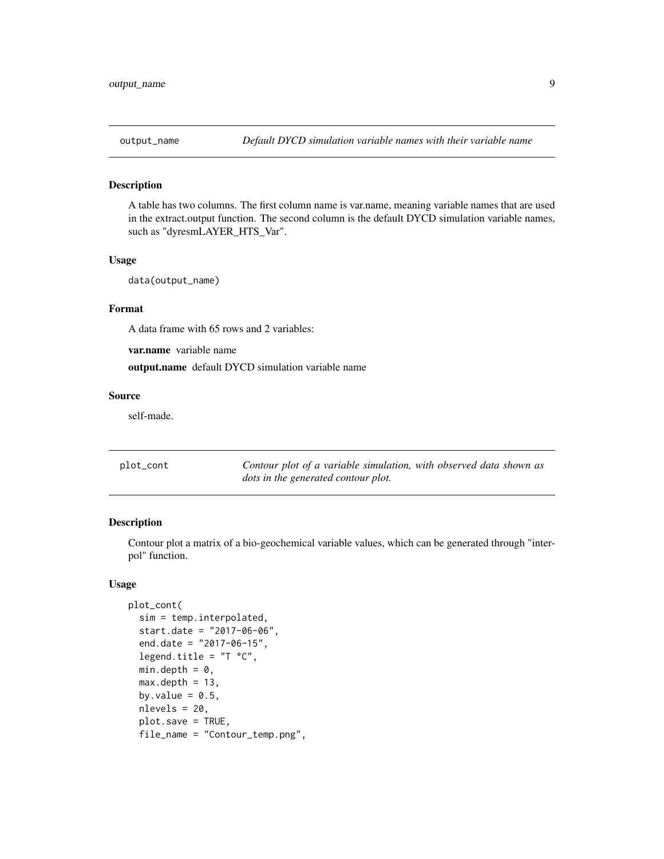<span id="page-8-0"></span>

A table has two columns. The first column name is var.name, meaning variable names that are used in the extract.output function. The second column is the default DYCD simulation variable names, such as "dyresmLAYER\_HTS\_Var".

#### Usage

```
data(output_name)
```
#### Format

A data frame with 65 rows and 2 variables:

var.name variable name

output.name default DYCD simulation variable name

#### Source

self-made.

| plot_cont | Contour plot of a variable simulation, with observed data shown as |
|-----------|--------------------------------------------------------------------|
|           | dots in the generated contour plot.                                |

#### Description

Contour plot a matrix of a bio-geochemical variable values, which can be generated through "interpol" function.

#### Usage

```
plot_cont(
  sim = temp.interpolated,
  start.date = "2017-06-06",
  end.date = "2017-06-15",
  legend.title = "T °C",min.depth = 0,
 max.depth = 13,
 by.value = 0.5,
  nlevels = 20,
  plot.save = TRUE,
  file_name = "Contour_temp.png",
```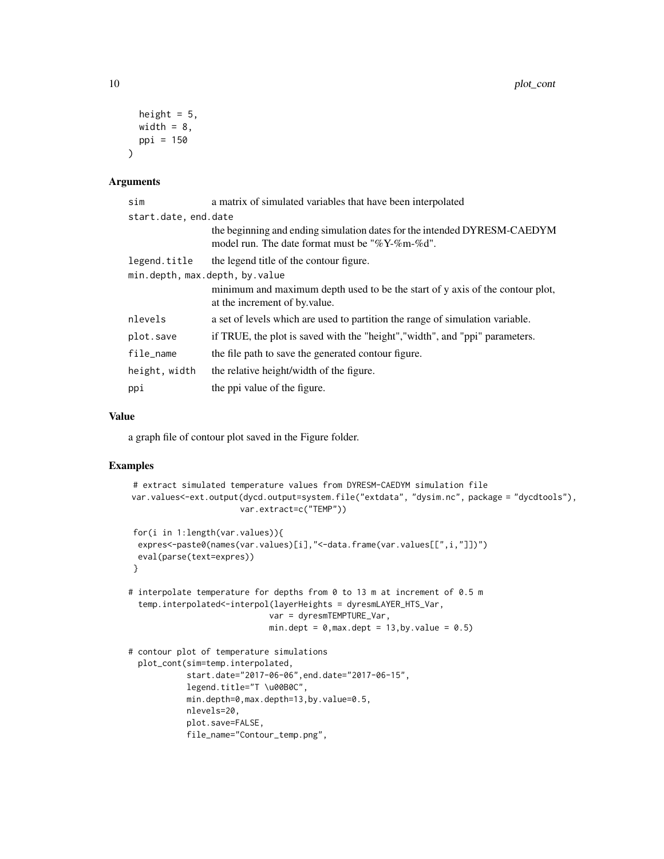```
height = 5,
 width = 8,
 ppi = 150
\lambda
```
#### Arguments

| sim                            | a matrix of simulated variables that have been interpolated                                                                |
|--------------------------------|----------------------------------------------------------------------------------------------------------------------------|
| start.date, end.date           |                                                                                                                            |
|                                | the beginning and ending simulation dates for the intended DYRESM-CAEDYM<br>model run. The date format must be "%Y-%m-%d". |
| legend.title                   | the legend title of the contour figure.                                                                                    |
| min.depth, max.depth, by.value |                                                                                                                            |
|                                | minimum and maximum depth used to be the start of y axis of the contour plot,<br>at the increment of by value.             |
| nlevels                        | a set of levels which are used to partition the range of simulation variable.                                              |
| plot.save                      | if TRUE, the plot is saved with the "height", "width", and "ppi" parameters.                                               |
| file_name                      | the file path to save the generated contour figure.                                                                        |
| height, width                  | the relative height/width of the figure.                                                                                   |
| ppi                            | the ppi value of the figure.                                                                                               |

### Value

a graph file of contour plot saved in the Figure folder.

#### Examples

```
# extract simulated temperature values from DYRESM-CAEDYM simulation file
var.values<-ext.output(dycd.output=system.file("extdata", "dysim.nc", package = "dycdtools"),
                       var.extract=c("TEMP"))
for(i in 1:length(var.values)){
 expres<-paste0(names(var.values)[i],"<-data.frame(var.values[[",i,"]])")
 eval(parse(text=expres))
}
# interpolate temperature for depths from 0 to 13 m at increment of 0.5 m
 temp.interpolated<-interpol(layerHeights = dyresmLAYER_HTS_Var,
                             var = dyresmTEMPTURE_Var,
                             min.dept = 0, max.dept = 13, by. value = 0.5# contour plot of temperature simulations
 plot_cont(sim=temp.interpolated,
            start.date="2017-06-06",end.date="2017-06-15",
            legend.title="T \u00B0C",
            min.depth=0,max.depth=13,by.value=0.5,
            nlevels=20,
            plot.save=FALSE,
            file_name="Contour_temp.png",
```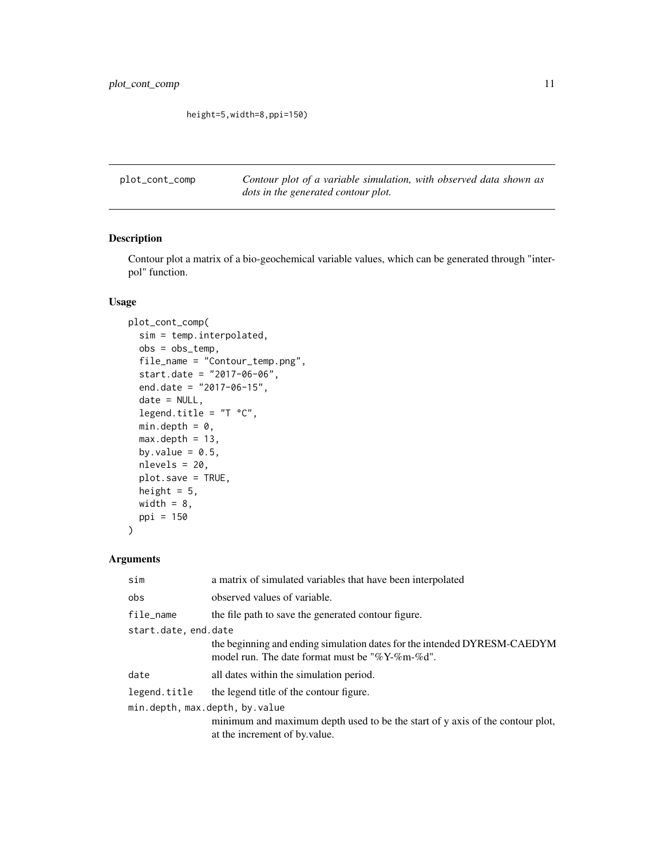<span id="page-10-0"></span>height=5,width=8,ppi=150)

plot\_cont\_comp *Contour plot of a variable simulation, with observed data shown as dots in the generated contour plot.*

# Description

Contour plot a matrix of a bio-geochemical variable values, which can be generated through "interpol" function.

# Usage

```
plot_cont_comp(
  sim = temp.interpolated,
  obs = obs_temp,
  file_name = "Contour_temp.png",
  start.date = "2017-06-06",
  end.date = "2017-06-15",
  date = NULL,
  legend.title = "T °C",min.depth = 0,max.depth = 13,
 by.value = 0.5,
  nlevels = 20,
 plot.save = TRUE,
  height = 5,
 width = 8,
  ppi = 150
)
```

| sim                            | a matrix of simulated variables that have been interpolated                                                                |  |
|--------------------------------|----------------------------------------------------------------------------------------------------------------------------|--|
| obs                            | observed values of variable.                                                                                               |  |
| file_name                      | the file path to save the generated contour figure.                                                                        |  |
| start.date, end.date           |                                                                                                                            |  |
|                                | the beginning and ending simulation dates for the intended DYRESM-CAEDYM<br>model run. The date format must be "%Y-%m-%d". |  |
| date                           | all dates within the simulation period.                                                                                    |  |
| legend.title                   | the legend title of the contour figure.                                                                                    |  |
| min.depth, max.depth, by.value |                                                                                                                            |  |
|                                | minimum and maximum depth used to be the start of y axis of the contour plot,                                              |  |
|                                | at the increment of by value.                                                                                              |  |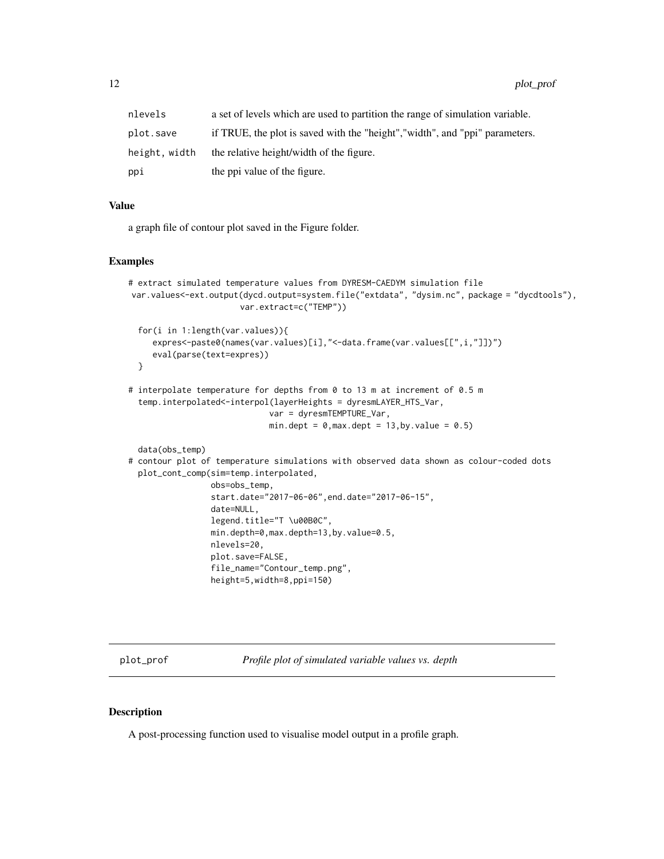<span id="page-11-0"></span>

| nlevels       | a set of levels which are used to partition the range of simulation variable. |
|---------------|-------------------------------------------------------------------------------|
| plot.save     | if TRUE, the plot is saved with the "height", "width", and "ppi" parameters.  |
| height, width | the relative height/width of the figure.                                      |
| ppi           | the ppi value of the figure.                                                  |

#### Value

a graph file of contour plot saved in the Figure folder.

#### Examples

```
# extract simulated temperature values from DYRESM-CAEDYM simulation file
var.values<-ext.output(dycd.output=system.file("extdata", "dysim.nc", package = "dycdtools"),
                       var.extract=c("TEMP"))
 for(i in 1:length(var.values)){
     expres<-paste0(names(var.values)[i],"<-data.frame(var.values[[",i,"]])")
     eval(parse(text=expres))
 }
# interpolate temperature for depths from 0 to 13 m at increment of 0.5 m
 temp.interpolated<-interpol(layerHeights = dyresmLAYER_HTS_Var,
                             var = dyresmTEMPTURE_Var,
                             min.dept = 0, \text{max.depth} = 13, \text{by.value} = 0.5data(obs_temp)
# contour plot of temperature simulations with observed data shown as colour-coded dots
 plot_cont_comp(sim=temp.interpolated,
                 obs=obs_temp,
                 start.date="2017-06-06",end.date="2017-06-15",
                 date=NULL,
                 legend.title="T \u00B0C",
                 min.depth=0,max.depth=13,by.value=0.5,
                 nlevels=20,
                 plot.save=FALSE,
                 file_name="Contour_temp.png",
                 height=5,width=8,ppi=150)
```
plot\_prof *Profile plot of simulated variable values vs. depth*

#### Description

A post-processing function used to visualise model output in a profile graph.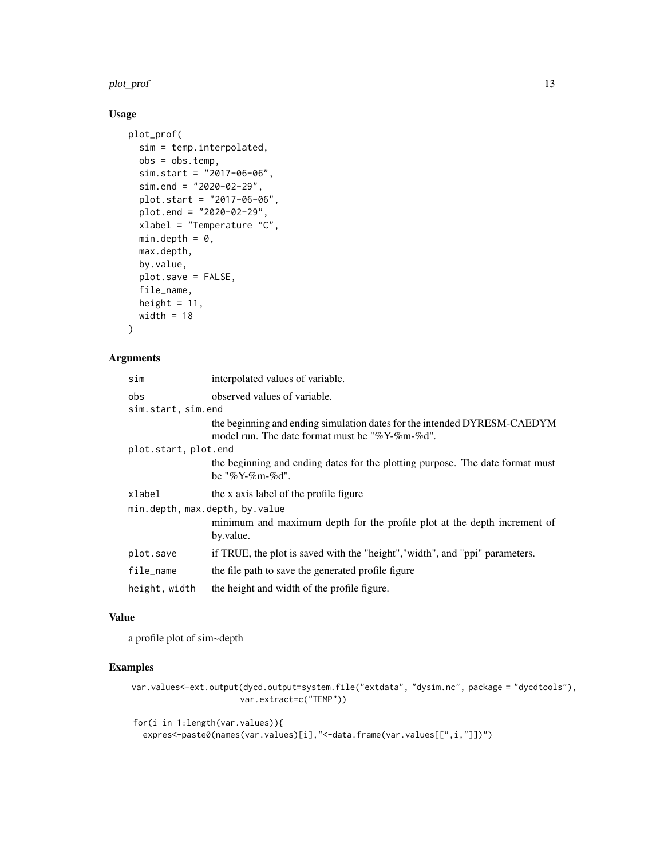#### plot\_prof the contract of the contract of the contract of the contract of the contract of the contract of the contract of the contract of the contract of the contract of the contract of the contract of the contract of the

# Usage

```
plot_prof(
 sim = temp.interpolated,
 obs = obs.temp,
 sim.start = "2017-06-06",
 sim.end = "2020-02-29",
 plot.start = "2017-06-06",
 plot.end = "2020-02-29",
 xlabel = "Temperature °C",
 min.depth = 0,max.depth,
 by.value,
 plot.save = FALSE,
 file_name,
 height = 11,
 width = 18)
```
# Arguments

| sim                  | interpolated values of variable.                                                                                           |  |
|----------------------|----------------------------------------------------------------------------------------------------------------------------|--|
| obs                  | observed values of variable.                                                                                               |  |
| sim.start, sim.end   |                                                                                                                            |  |
|                      | the beginning and ending simulation dates for the intended DYRESM-CAEDYM<br>model run. The date format must be "%Y-%m-%d". |  |
| plot.start, plot.end |                                                                                                                            |  |
|                      | the beginning and ending dates for the plotting purpose. The date format must<br>be "%Y-%m-%d".                            |  |
| xlabel               | the x axis label of the profile figure                                                                                     |  |
|                      | min.depth, max.depth, by.value                                                                                             |  |
|                      | minimum and maximum depth for the profile plot at the depth increment of<br>by.value.                                      |  |
| plot.save            | if TRUE, the plot is saved with the "height", "width", and "ppi" parameters.                                               |  |
| file_name            | the file path to save the generated profile figure                                                                         |  |
| height, width        | the height and width of the profile figure.                                                                                |  |

#### Value

a profile plot of sim~depth

# Examples

var.values<-ext.output(dycd.output=system.file("extdata", "dysim.nc", package = "dycdtools"), var.extract=c("TEMP"))

for(i in 1:length(var.values)){ expres<-paste0(names(var.values)[i],"<-data.frame(var.values[[",i,"]])")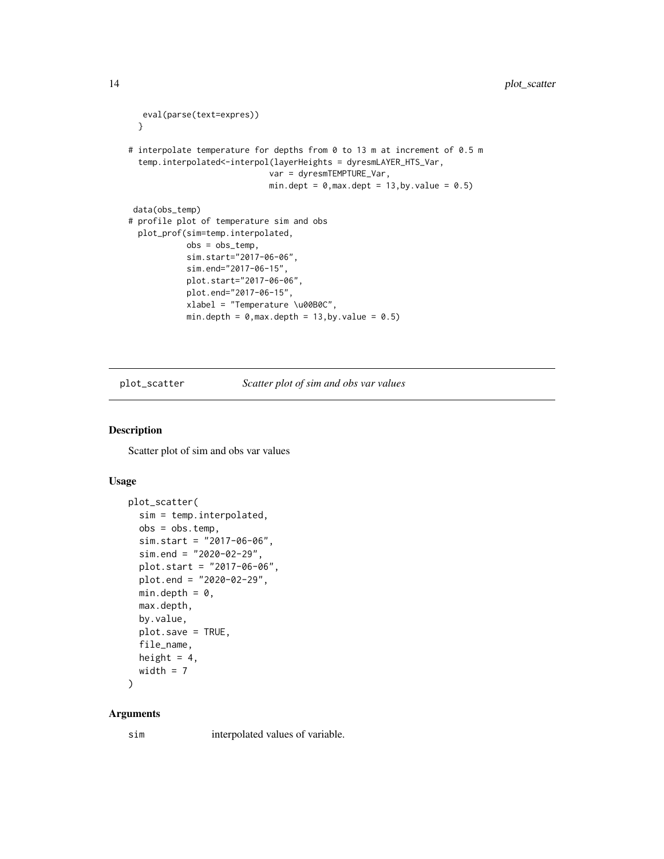```
eval(parse(text=expres))
 }
# interpolate temperature for depths from 0 to 13 m at increment of 0.5 m
 temp.interpolated<-interpol(layerHeights = dyresmLAYER_HTS_Var,
                              var = dyresmTEMPTURE_Var,
                              min.dept = 0, \text{max.depth} = 13, \text{by.value} = 0.5data(obs_temp)
# profile plot of temperature sim and obs
 plot_prof(sim=temp.interpolated,
            obs = obs_temp,
            sim.start="2017-06-06",
            sim.end="2017-06-15",
            plot.start="2017-06-06",
            plot.end="2017-06-15",
            xlabel = "Temperature \u00B0C",
            min.depth = 0, max.depth = 13, by.value = 0.5)
```
plot\_scatter *Scatter plot of sim and obs var values*

### Description

Scatter plot of sim and obs var values

#### Usage

```
plot_scatter(
  sim = temp.interpolated,
 obs = obs.temp,
  sim.start = "2017-06-06",sim.end = "2020-02-29",
 plot.start = "2017-06-06",
 plot.end = "2020-02-29",
 min.depth = 0,max.depth,
 by.value,
 plot.save = TRUE,
  file_name,
 height = 4,
 width = 7
```

```
)
```
#### Arguments

sim interpolated values of variable.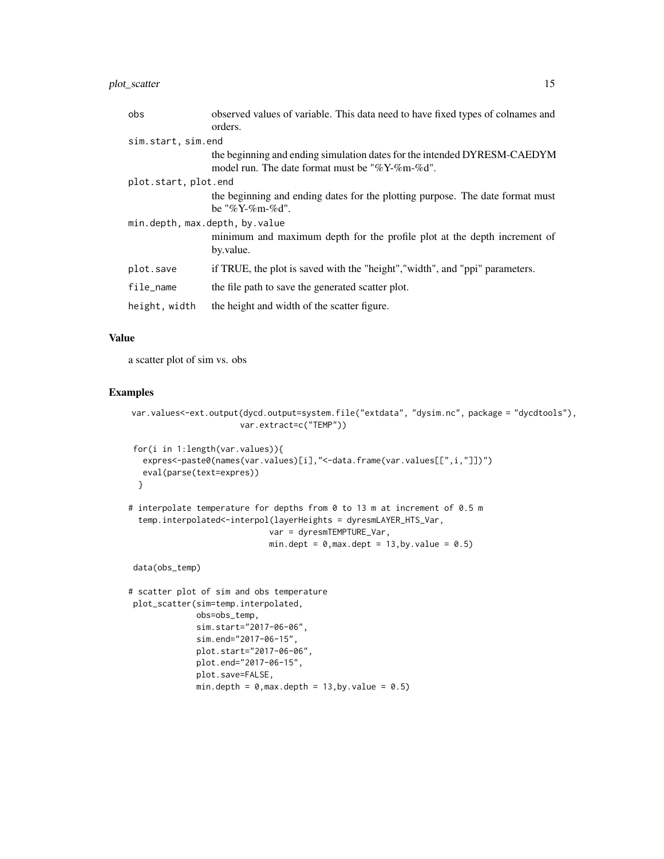# plot\_scatter 15

| obs                            | observed values of variable. This data need to have fixed types of colnames and |
|--------------------------------|---------------------------------------------------------------------------------|
|                                | orders.                                                                         |
| sim.start, sim.end             |                                                                                 |
|                                | the beginning and ending simulation dates for the intended DYRESM-CAEDYM        |
|                                | model run. The date format must be "%Y-%m-%d".                                  |
| plot.start, plot.end           |                                                                                 |
|                                | the beginning and ending dates for the plotting purpose. The date format must   |
|                                | be "%Y-%m-%d".                                                                  |
| min.depth, max.depth, by.value |                                                                                 |
|                                | minimum and maximum depth for the profile plot at the depth increment of        |
|                                | by.value.                                                                       |
| plot.save                      | if TRUE, the plot is saved with the "height", "width", and "ppi" parameters.    |
| file_name                      | the file path to save the generated scatter plot.                               |
| height, width                  | the height and width of the scatter figure.                                     |

#### Value

a scatter plot of sim vs. obs

#### Examples

```
var.values<-ext.output(dycd.output=system.file("extdata", "dysim.nc", package = "dycdtools"),
                      var.extract=c("TEMP"))
```

```
for(i in 1:length(var.values)){
  expres<-paste0(names(var.values)[i],"<-data.frame(var.values[[",i,"]])")
  eval(parse(text=expres))
 }
# interpolate temperature for depths from 0 to 13 m at increment of 0.5 m
 temp.interpolated<-interpol(layerHeights = dyresmLAYER_HTS_Var,
                            var = dyresmTEMPTURE_Var,
                             min.dept = 0, max.dept = 13, by. value = 0.5
```
data(obs\_temp)

```
# scatter plot of sim and obs temperature
plot_scatter(sim=temp.interpolated,
             obs=obs_temp,
             sim.start="2017-06-06",
             sim.end="2017-06-15",
             plot.start="2017-06-06",
             plot.end="2017-06-15",
             plot.save=FALSE,
             min.depth = 0,max.depth = 13,by.value = 0.5)
```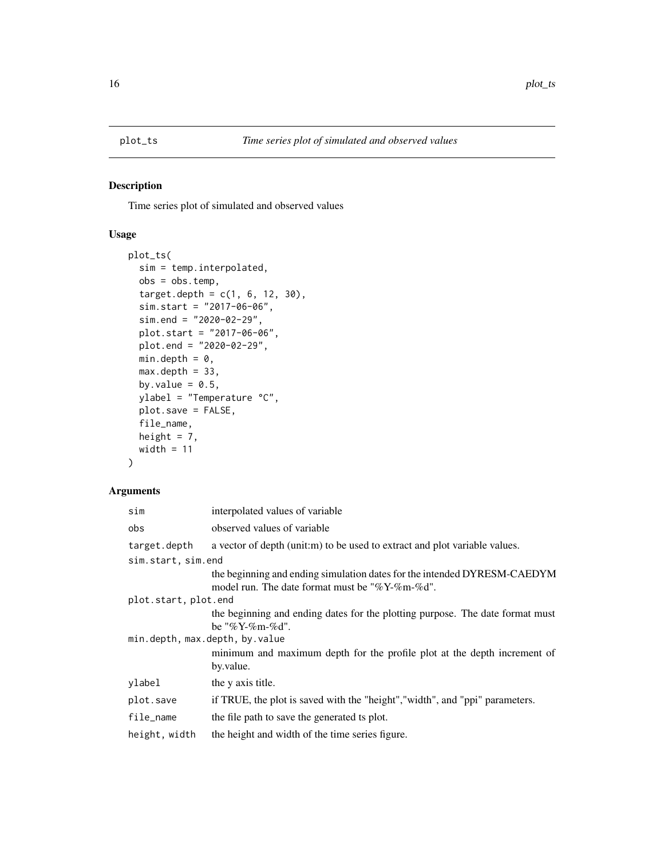<span id="page-15-0"></span>

Time series plot of simulated and observed values

# Usage

```
plot_ts(
  sim = temp.interpolated,
 obs = obs.temp,
  target.depth = c(1, 6, 12, 30),sim.start = "2017-06-06",
  sim.end = "2020-02-29",
 plot.start = "2017-06-06",
 plot.end = "2020-02-29",
 min.depth = 0,max.depth = 33,by.value = 0.5,
 ylabel = "Temperature °C",
 plot.save = FALSE,
  file_name,
 height = 7,
 width = 11)
```

| sim                            | interpolated values of variable                                                                                            |
|--------------------------------|----------------------------------------------------------------------------------------------------------------------------|
| obs                            | observed values of variable                                                                                                |
| target.depth                   | a vector of depth (unit:m) to be used to extract and plot variable values.                                                 |
| sim.start, sim.end             |                                                                                                                            |
|                                | the beginning and ending simulation dates for the intended DYRESM-CAEDYM<br>model run. The date format must be "%Y-%m-%d". |
| plot.start, plot.end           |                                                                                                                            |
|                                | the beginning and ending dates for the plotting purpose. The date format must<br>be "%Y-%m-%d".                            |
| min.depth, max.depth, by.value |                                                                                                                            |
|                                | minimum and maximum depth for the profile plot at the depth increment of<br>by.value.                                      |
| ylabel                         | the y axis title.                                                                                                          |
| plot.save                      | if TRUE, the plot is saved with the "height", "width", and "ppi" parameters.                                               |
| file_name                      | the file path to save the generated ts plot.                                                                               |
| height, width                  | the height and width of the time series figure.                                                                            |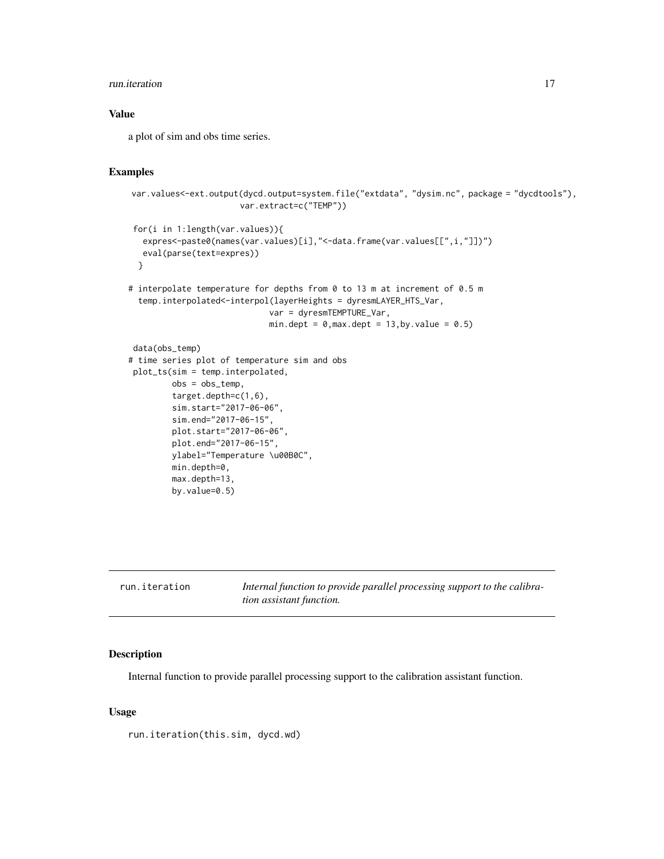#### <span id="page-16-0"></span>run.iteration 17

#### Value

a plot of sim and obs time series.

#### Examples

```
var.values<-ext.output(dycd.output=system.file("extdata", "dysim.nc", package = "dycdtools"),
                      var.extract=c("TEMP"))
```

```
for(i in 1:length(var.values)){
  expres<-paste0(names(var.values)[i],"<-data.frame(var.values[[",i,"]])")
  eval(parse(text=expres))
 }
```

```
# interpolate temperature for depths from 0 to 13 m at increment of 0.5 m
 temp.interpolated<-interpol(layerHeights = dyresmLAYER_HTS_Var,
                            var = dyresmTEMPTURE_Var,
                            min.dept = 0, max.dept = 13, by. value = 0.5
```

```
data(obs_temp)
# time series plot of temperature sim and obs
plot_ts(sim = temp.interpolated,
        obs = obs_temp,
        target.depth=c(1,6),
        sim.start="2017-06-06",
        sim.end="2017-06-15",
        plot.start="2017-06-06",
        plot.end="2017-06-15",
        ylabel="Temperature \u00B0C",
        min.depth=0,
        max.depth=13,
        by.value=0.5)
```

| run.iteration | Internal function to provide parallel processing support to the calibra- |
|---------------|--------------------------------------------------------------------------|
|               | <i>tion assistant function.</i>                                          |

#### Description

Internal function to provide parallel processing support to the calibration assistant function.

# Usage

run.iteration(this.sim, dycd.wd)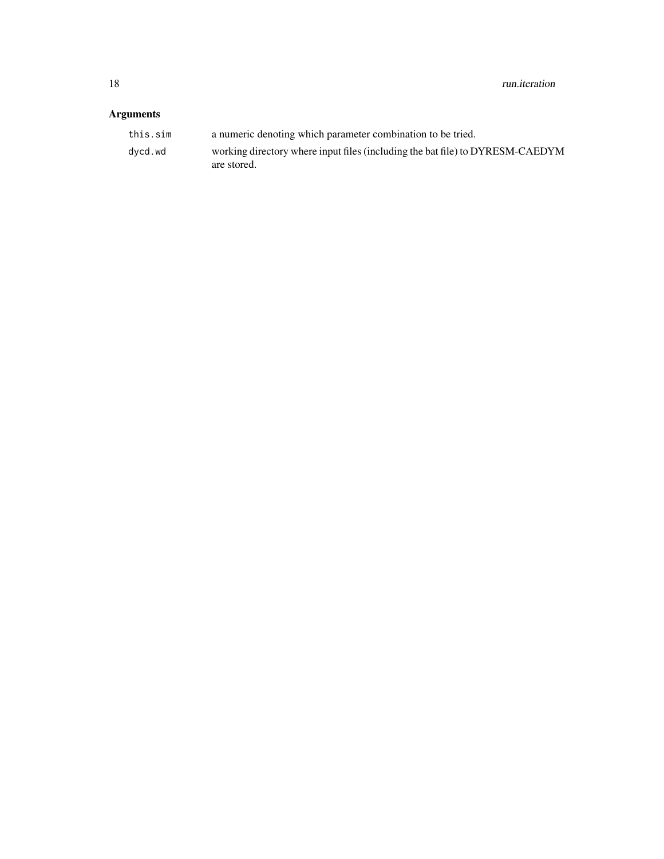| this.sim | a numeric denoting which parameter combination to be tried.                                  |
|----------|----------------------------------------------------------------------------------------------|
| dycd.wd  | working directory where input files (including the bat file) to DYRESM-CAEDYM<br>are stored. |